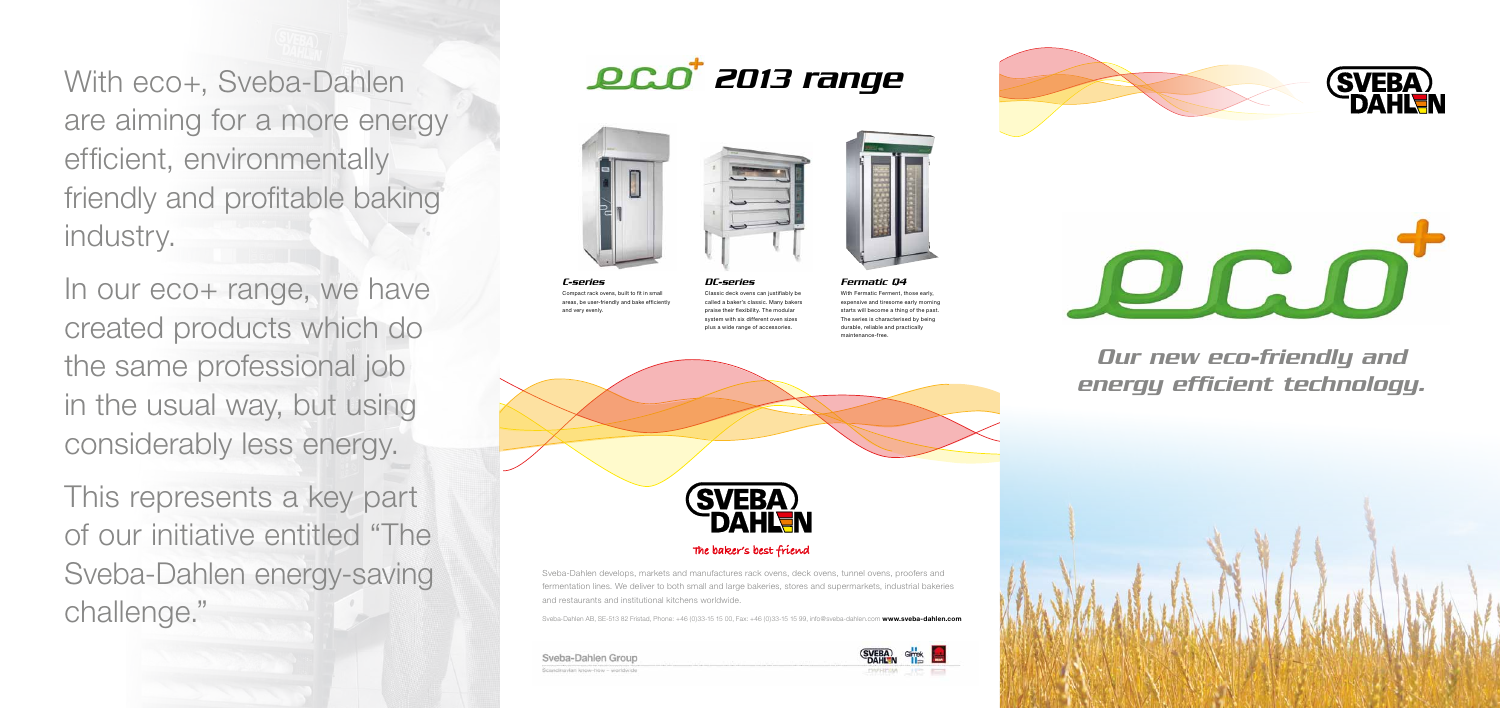With eco+, Sveba-Dahlen are aiming for a more energy efficient, environmentally friendly and profitable baking industry.

In our eco+ range, we have created products which do the same professional job in the usual way, but using considerably less energy.

This represents a key part of our initiative entitled "The Sveba-Dahlen energy-saving challen AB, SE-513 82 Fristad, Phone: +46 (0)33-15 15 00, Fax: +46 (0)33-15 15 99, info@sveba-dahlen.com<br>
Sveba-Dahlen AB, SE-513 82 Fristad, Phone: +46 (0)33-15 15 00, Fax: +46 (0)33-15 15 99, info@sveba-dahlen.com

*C-series* Compact rack ovens, built to fit in small areas, be user-friendly and bake efficiently and very evenly.

*DC-series* Classic deck ovens can justifiably be called a baker's classic. Many bakers praise their flexibility. The modular system with six different oven sizes plus a wide range of accessories.



### The baker's best friend

# *2013 range*







*Fermatic Q4* With Fermatic Ferment, those early expensive and tiresome early morning starts will become a thing of the past The series is characterised by being durable, reliable and practically maintenance-free.





### *Our new eco-friendly and energy efficient technology.*







Sveba-Dahlen develops, markets and manufactures rack ovens, deck ovens, tunnel ovens, proofers and fermentation lines. We deliver to both small and large bakeries, stores and supermarkets, industrial bakeries and restaurants and institutional kitchens worldwide.

### Sveba-Dahlen Group